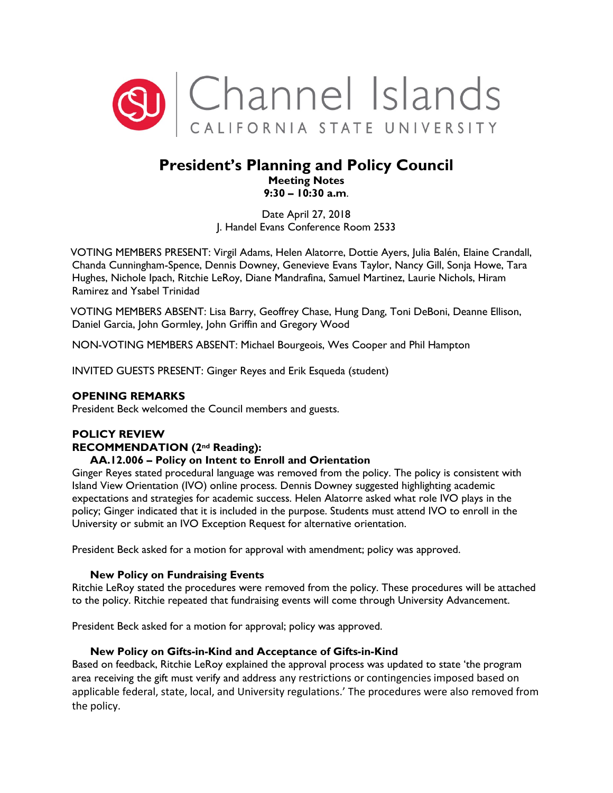

# **President's Planning and Policy Council Meeting Notes 9:30 – 10:30 a.m**.

Date April 27, 2018 J. Handel Evans Conference Room 2533

VOTING MEMBERS PRESENT: Virgil Adams, Helen Alatorre, Dottie Ayers, Julia Balén, Elaine Crandall, Chanda Cunningham-Spence, Dennis Downey, Genevieve Evans Taylor, Nancy Gill, Sonja Howe, Tara Hughes, Nichole Ipach, Ritchie LeRoy, Diane Mandrafina, Samuel Martinez, Laurie Nichols, Hiram Ramirez and Ysabel Trinidad

VOTING MEMBERS ABSENT: Lisa Barry, Geoffrey Chase, Hung Dang, Toni DeBoni, Deanne Ellison, Daniel Garcia, John Gormley, John Griffin and Gregory Wood

NON-VOTING MEMBERS ABSENT: Michael Bourgeois, Wes Cooper and Phil Hampton

INVITED GUESTS PRESENT: Ginger Reyes and Erik Esqueda (student)

### **OPENING REMARKS**

President Beck welcomed the Council members and guests.

## **POLICY REVIEW**

#### **RECOMMENDATION (2nd Reading):**

#### **AA.12.006 – Policy on Intent to Enroll and Orientation**

Ginger Reyes stated procedural language was removed from the policy. The policy is consistent with Island View Orientation (IVO) online process. Dennis Downey suggested highlighting academic expectations and strategies for academic success. Helen Alatorre asked what role IVO plays in the policy; Ginger indicated that it is included in the purpose. Students must attend IVO to enroll in the University or submit an IVO Exception Request for alternative orientation.

President Beck asked for a motion for approval with amendment; policy was approved.

#### **New Policy on Fundraising Events**

Ritchie LeRoy stated the procedures were removed from the policy. These procedures will be attached to the policy. Ritchie repeated that fundraising events will come through University Advancement.

President Beck asked for a motion for approval; policy was approved.

#### **New Policy on Gifts-in-Kind and Acceptance of Gifts-in-Kind**

Based on feedback, Ritchie LeRoy explained the approval process was updated to state 'the program area receiving the gift must verify and address any restrictions or contingencies imposed based on applicable federal, state, local, and University regulations.' The procedures were also removed from the policy.